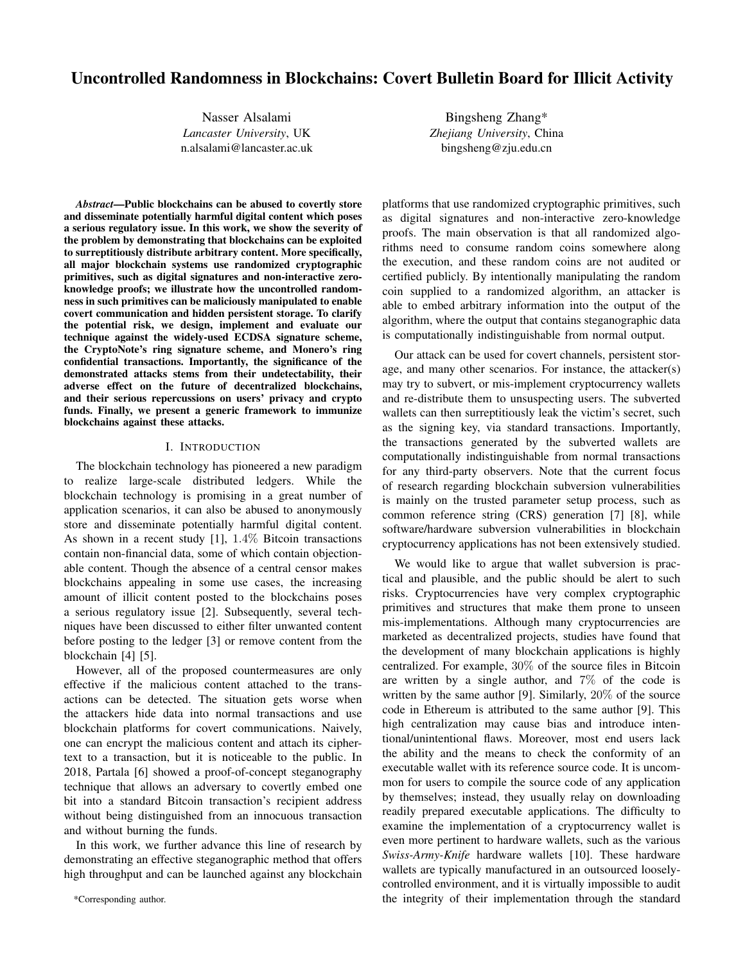# Uncontrolled Randomness in Blockchains: Covert Bulletin Board for Illicit Activity

Nasser Alsalami *Lancaster University*, UK n.alsalami@lancaster.ac.uk

Bingsheng Zhang\* *Zhejiang University*, China bingsheng@zju.edu.cn

*Abstract*—Public blockchains can be abused to covertly store and disseminate potentially harmful digital content which poses a serious regulatory issue. In this work, we show the severity of the problem by demonstrating that blockchains can be exploited to surreptitiously distribute arbitrary content. More specifically, all major blockchain systems use randomized cryptographic primitives, such as digital signatures and non-interactive zeroknowledge proofs; we illustrate how the uncontrolled randomness in such primitives can be maliciously manipulated to enable covert communication and hidden persistent storage. To clarify the potential risk, we design, implement and evaluate our technique against the widely-used ECDSA signature scheme, the CryptoNote's ring signature scheme, and Monero's ring confidential transactions. Importantly, the significance of the demonstrated attacks stems from their undetectability, their adverse effect on the future of decentralized blockchains, and their serious repercussions on users' privacy and crypto funds. Finally, we present a generic framework to immunize blockchains against these attacks.

# I. INTRODUCTION

The blockchain technology has pioneered a new paradigm to realize large-scale distributed ledgers. While the blockchain technology is promising in a great number of application scenarios, it can also be abused to anonymously store and disseminate potentially harmful digital content. As shown in a recent study [1], 1.4% Bitcoin transactions contain non-financial data, some of which contain objectionable content. Though the absence of a central censor makes blockchains appealing in some use cases, the increasing amount of illicit content posted to the blockchains poses a serious regulatory issue [2]. Subsequently, several techniques have been discussed to either filter unwanted content before posting to the ledger [3] or remove content from the blockchain [4] [5].

However, all of the proposed countermeasures are only effective if the malicious content attached to the transactions can be detected. The situation gets worse when the attackers hide data into normal transactions and use blockchain platforms for covert communications. Naively, one can encrypt the malicious content and attach its ciphertext to a transaction, but it is noticeable to the public. In 2018, Partala [6] showed a proof-of-concept steganography technique that allows an adversary to covertly embed one bit into a standard Bitcoin transaction's recipient address without being distinguished from an innocuous transaction and without burning the funds.

In this work, we further advance this line of research by demonstrating an effective steganographic method that offers high throughput and can be launched against any blockchain

platforms that use randomized cryptographic primitives, such as digital signatures and non-interactive zero-knowledge proofs. The main observation is that all randomized algorithms need to consume random coins somewhere along the execution, and these random coins are not audited or certified publicly. By intentionally manipulating the random coin supplied to a randomized algorithm, an attacker is able to embed arbitrary information into the output of the algorithm, where the output that contains steganographic data is computationally indistinguishable from normal output.

Our attack can be used for covert channels, persistent storage, and many other scenarios. For instance, the attacker(s) may try to subvert, or mis-implement cryptocurrency wallets and re-distribute them to unsuspecting users. The subverted wallets can then surreptitiously leak the victim's secret, such as the signing key, via standard transactions. Importantly, the transactions generated by the subverted wallets are computationally indistinguishable from normal transactions for any third-party observers. Note that the current focus of research regarding blockchain subversion vulnerabilities is mainly on the trusted parameter setup process, such as common reference string (CRS) generation [7] [8], while software/hardware subversion vulnerabilities in blockchain cryptocurrency applications has not been extensively studied.

We would like to argue that wallet subversion is practical and plausible, and the public should be alert to such risks. Cryptocurrencies have very complex cryptographic primitives and structures that make them prone to unseen mis-implementations. Although many cryptocurrencies are marketed as decentralized projects, studies have found that the development of many blockchain applications is highly centralized. For example, 30% of the source files in Bitcoin are written by a single author, and 7% of the code is written by the same author [9]. Similarly, 20% of the source code in Ethereum is attributed to the same author [9]. This high centralization may cause bias and introduce intentional/unintentional flaws. Moreover, most end users lack the ability and the means to check the conformity of an executable wallet with its reference source code. It is uncommon for users to compile the source code of any application by themselves; instead, they usually relay on downloading readily prepared executable applications. The difficulty to examine the implementation of a cryptocurrency wallet is even more pertinent to hardware wallets, such as the various *Swiss-Army-Knife* hardware wallets [10]. These hardware wallets are typically manufactured in an outsourced looselycontrolled environment, and it is virtually impossible to audit the integrity of their implementation through the standard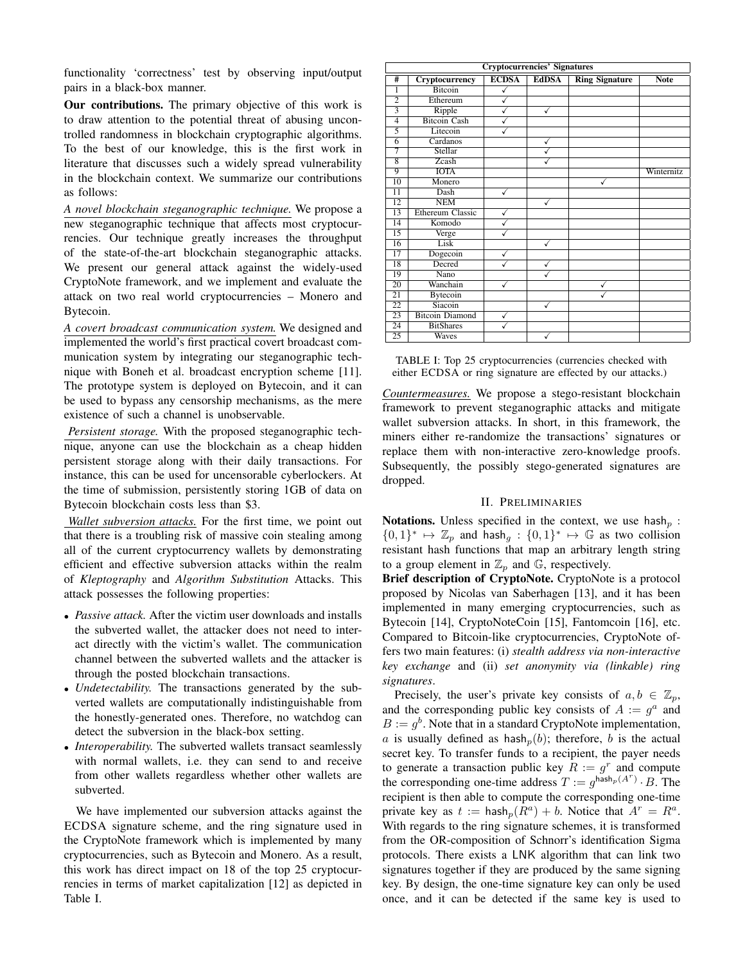functionality 'correctness' test by observing input/output pairs in a black-box manner.

Our contributions. The primary objective of this work is to draw attention to the potential threat of abusing uncontrolled randomness in blockchain cryptographic algorithms. To the best of our knowledge, this is the first work in literature that discusses such a widely spread vulnerability in the blockchain context. We summarize our contributions as follows:

*A novel blockchain steganographic technique.* We propose a new steganographic technique that affects most cryptocurrencies. Our technique greatly increases the throughput of the state-of-the-art blockchain steganographic attacks. We present our general attack against the widely-used CryptoNote framework, and we implement and evaluate the attack on two real world cryptocurrencies – Monero and Bytecoin.

*A covert broadcast communication system.* We designed and implemented the world's first practical covert broadcast communication system by integrating our steganographic technique with Boneh et al. broadcast encryption scheme [11]. The prototype system is deployed on Bytecoin, and it can be used to bypass any censorship mechanisms, as the mere existence of such a channel is unobservable.

*Persistent storage.* With the proposed steganographic technique, anyone can use the blockchain as a cheap hidden persistent storage along with their daily transactions. For instance, this can be used for uncensorable cyberlockers. At the time of submission, persistently storing 1GB of data on Bytecoin blockchain costs less than \$3.

*Wallet subversion attacks.* For the first time, we point out that there is a troubling risk of massive coin stealing among all of the current cryptocurrency wallets by demonstrating efficient and effective subversion attacks within the realm of *Kleptography* and *Algorithm Substitution* Attacks. This attack possesses the following properties:

- *Passive attack.* After the victim user downloads and installs the subverted wallet, the attacker does not need to interact directly with the victim's wallet. The communication channel between the subverted wallets and the attacker is through the posted blockchain transactions.
- *Undetectability.* The transactions generated by the subverted wallets are computationally indistinguishable from the honestly-generated ones. Therefore, no watchdog can detect the subversion in the black-box setting.
- *Interoperability.* The subverted wallets transact seamlessly with normal wallets, i.e. they can send to and receive from other wallets regardless whether other wallets are subverted.

We have implemented our subversion attacks against the ECDSA signature scheme, and the ring signature used in the CryptoNote framework which is implemented by many cryptocurrencies, such as Bytecoin and Monero. As a result, this work has direct impact on 18 of the top 25 cryptocurrencies in terms of market capitalization [12] as depicted in Table I.

| <b>Cryptocurrencies' Signatures</b> |                         |              |              |                       |             |  |
|-------------------------------------|-------------------------|--------------|--------------|-----------------------|-------------|--|
| #                                   | Cryptocurrency          | <b>ECDSA</b> | <b>EdDSA</b> | <b>Ring Signature</b> | <b>Note</b> |  |
| 1                                   | Bitcoin                 |              |              |                       |             |  |
| $\overline{2}$                      | Ethereum                | $\checkmark$ |              |                       |             |  |
| 3                                   | Ripple                  |              | ✓            |                       |             |  |
| $\overline{4}$                      | <b>Bitcoin Cash</b>     |              |              |                       |             |  |
| 5                                   | Litecoin                |              |              |                       |             |  |
| 6                                   | Cardanos                |              | ✓            |                       |             |  |
| 7                                   | Stellar                 |              | √            |                       |             |  |
| $\overline{8}$                      | $Z$ cash                |              |              |                       |             |  |
| 9                                   | <b>IOTA</b>             |              |              |                       | Winternitz  |  |
| $\overline{10}$                     | Monero                  |              |              |                       |             |  |
| 11                                  | Dash                    | $\checkmark$ |              |                       |             |  |
| $\overline{12}$                     | <b>NEM</b>              |              | ✓            |                       |             |  |
| 13                                  | <b>Ethereum Classic</b> | ✓            |              |                       |             |  |
| $\overline{14}$                     | Komodo                  |              |              |                       |             |  |
| $\overline{15}$                     | Verge                   |              |              |                       |             |  |
| 16                                  | Lisk                    |              | $\checkmark$ |                       |             |  |
| $\overline{17}$                     | Dogecoin                | $\checkmark$ |              |                       |             |  |
| 18                                  | Decred                  |              | √            |                       |             |  |
| 19                                  | <b>Nano</b>             |              | $\checkmark$ |                       |             |  |
| 20                                  | Wanchain                | ✓            |              |                       |             |  |
| 21                                  | Bytecoin                |              |              |                       |             |  |
| 22                                  | Siacoin                 |              | ✓            |                       |             |  |
| 23                                  | <b>Bitcoin Diamond</b>  | $\checkmark$ |              |                       |             |  |
| 24                                  | <b>BitShares</b>        |              |              |                       |             |  |
| $\overline{25}$                     | Waves                   |              |              |                       |             |  |

TABLE I: Top 25 cryptocurrencies (currencies checked with either ECDSA or ring signature are effected by our attacks.)

*Countermeasures.* We propose a stego-resistant blockchain framework to prevent steganographic attacks and mitigate wallet subversion attacks. In short, in this framework, the miners either re-randomize the transactions' signatures or replace them with non-interactive zero-knowledge proofs. Subsequently, the possibly stego-generated signatures are dropped.

#### II. PRELIMINARIES

Notations. Unless specified in the context, we use hash $_p$  :  $\{0,1\}^* \mapsto \mathbb{Z}_p$  and hash<sub>g</sub> :  $\{0,1\}^* \mapsto \mathbb{G}$  as two collision resistant hash functions that map an arbitrary length string to a group element in  $\mathbb{Z}_n$  and  $\mathbb{G}$ , respectively.

Brief description of CryptoNote. CryptoNote is a protocol proposed by Nicolas van Saberhagen [13], and it has been implemented in many emerging cryptocurrencies, such as Bytecoin [14], CryptoNoteCoin [15], Fantomcoin [16], etc. Compared to Bitcoin-like cryptocurrencies, CryptoNote offers two main features: (i) *stealth address via non-interactive key exchange* and (ii) *set anonymity via (linkable) ring signatures*.

Precisely, the user's private key consists of  $a, b \in \mathbb{Z}_p$ , and the corresponding public key consists of  $A := g^a$  and  $B := g<sup>b</sup>$ . Note that in a standard CryptoNote implementation, a is usually defined as hash<sub>p</sub> $(b)$ ; therefore, b is the actual secret key. To transfer funds to a recipient, the payer needs to generate a transaction public key  $R := g<sup>r</sup>$  and compute the corresponding one-time address  $T := g^{\text{hash}_p(A^r)} \cdot B$ . The recipient is then able to compute the corresponding one-time private key as  $t := \text{hash}_p(R^a) + b$ . Notice that  $A^r = R^a$ . With regards to the ring signature schemes, it is transformed from the OR-composition of Schnorr's identification Sigma protocols. There exists a LNK algorithm that can link two signatures together if they are produced by the same signing key. By design, the one-time signature key can only be used once, and it can be detected if the same key is used to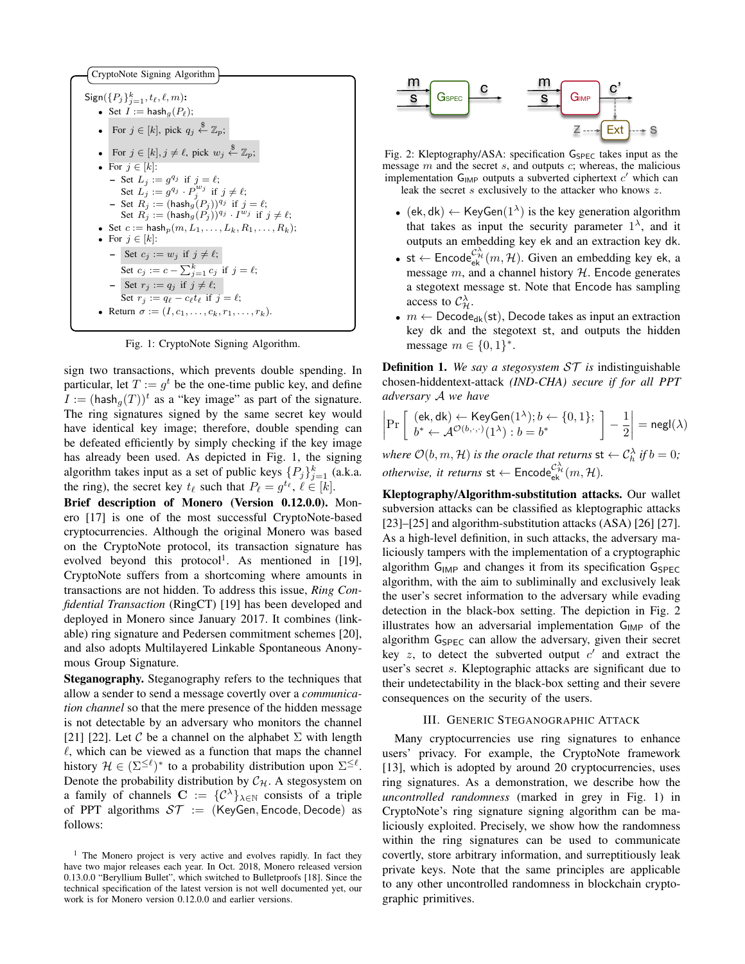| CryptoNote Signing Algorithm                                                                                                                                                                                                                                                                                                                                                                                                                                                                                                                                                                                                                                                                                                                                                                                                                                                                                                                                                                                                                                                                                                                                                                                                                                                                                                                                                                                                                                                                                                                                                                                                                                                                                                                                                                                                                                                                                                                                                                                                                                                                                                      |                                                                                                                                                                                                                                                                                                                                                                                                                                                                                                                                                                                                                                                                                                                    |
|-----------------------------------------------------------------------------------------------------------------------------------------------------------------------------------------------------------------------------------------------------------------------------------------------------------------------------------------------------------------------------------------------------------------------------------------------------------------------------------------------------------------------------------------------------------------------------------------------------------------------------------------------------------------------------------------------------------------------------------------------------------------------------------------------------------------------------------------------------------------------------------------------------------------------------------------------------------------------------------------------------------------------------------------------------------------------------------------------------------------------------------------------------------------------------------------------------------------------------------------------------------------------------------------------------------------------------------------------------------------------------------------------------------------------------------------------------------------------------------------------------------------------------------------------------------------------------------------------------------------------------------------------------------------------------------------------------------------------------------------------------------------------------------------------------------------------------------------------------------------------------------------------------------------------------------------------------------------------------------------------------------------------------------------------------------------------------------------------------------------------------------|--------------------------------------------------------------------------------------------------------------------------------------------------------------------------------------------------------------------------------------------------------------------------------------------------------------------------------------------------------------------------------------------------------------------------------------------------------------------------------------------------------------------------------------------------------------------------------------------------------------------------------------------------------------------------------------------------------------------|
| $Sign({P_j}_{j=1}^k, t_\ell, \ell, m)$ :<br>• Set $I := \text{hash}_g(P_\ell);$                                                                                                                                                                                                                                                                                                                                                                                                                                                                                                                                                                                                                                                                                                                                                                                                                                                                                                                                                                                                                                                                                                                                                                                                                                                                                                                                                                                                                                                                                                                                                                                                                                                                                                                                                                                                                                                                                                                                                                                                                                                   | Gspec                                                                                                                                                                                                                                                                                                                                                                                                                                                                                                                                                                                                                                                                                                              |
| • For $j \in [k]$ , pick $q_j \stackrel{\$}{\leftarrow} \mathbb{Z}_p$ ;<br>• For $j \in [k], j \neq \ell$ , pick $w_j \stackrel{\$}{\leftarrow} \mathbb{Z}_p$ ;<br>• For $j \in [k]$ :<br>- Set $L_j := g^{q_j}$ if $j = \ell$ ;<br>Set $L_j := g^{q_j} \cdot P_j^{w_j}$ if $j \neq \ell$ ;<br>- Set $R_j := (\text{hash}_g(P_j))^{q_j}$ if $j = \ell$ ;<br>Set $R_j := (\text{hash}_g(P_j))^{q_j} \cdot I^{w_j}$ if $j \neq \ell$ ;<br>• Set $c := \text{hash}_p(m, L_1, , L_k, R_1, , R_k);$<br>• For $j \in [k]$ :<br>- Set $c_j := w_j$ if $j \neq \ell$ ;<br>Set $c_j := c - \sum_{j=1}^k c_j$ if $j = \ell$ ;<br>- Set $r_j := q_j$ if $j \neq \ell$ ;<br>Set $r_j := q_\ell - c_\ell t_\ell$ if $j = \ell$ ;<br>• Return $\sigma := (I, c_1, \ldots, c_k, r_1, \ldots, r_k).$                                                                                                                                                                                                                                                                                                                                                                                                                                                                                                                                                                                                                                                                                                                                                                                                                                                                                                                                                                                                                                                                                                                                                                                                                                                                                                                                              | Fig. 2: Kleptogra<br>message $m$ and the<br>implementation G<br>leak the secre<br>$\bullet$ (ek, dk) $\leftarrow$<br>that takes<br>outputs an<br>• st $\leftarrow$ Encod<br>message m<br>a stegotext<br>access to $\mathcal C$<br>• $m \leftarrow$ Deco<br>key dk and                                                                                                                                                                                                                                                                                                                                                                                                                                              |
| Fig. 1: CryptoNote Signing Algorithm.                                                                                                                                                                                                                                                                                                                                                                                                                                                                                                                                                                                                                                                                                                                                                                                                                                                                                                                                                                                                                                                                                                                                                                                                                                                                                                                                                                                                                                                                                                                                                                                                                                                                                                                                                                                                                                                                                                                                                                                                                                                                                             | message m<br>Definition 1. W                                                                                                                                                                                                                                                                                                                                                                                                                                                                                                                                                                                                                                                                                       |
| sign two transactions, which prevents double spending. In<br>particular, let $T := g^t$ be the one-time public key, and define<br>$I := (hash_q(T))^t$ as a "key image" as part of the signature.<br>The ring signatures signed by the same secret key would<br>have identical key image; therefore, double spending can<br>be defeated efficiently by simply checking if the key image<br>has already been used. As depicted in Fig. 1, the signing<br>algorithm takes input as a set of public keys $\{P_j\}_{i=1}^k$ (a.k.a.<br>the ring), the secret key $t_{\ell}$ such that $P_{\ell} = g^{t_{\ell}}, \ell \in [k]$ .<br>Brief description of Monero (Version 0.12.0.0). Mon-<br>ero [17] is one of the most successful CryptoNote-based<br>cryptocurrencies. Although the original Monero was based<br>on the CryptoNote protocol, its transaction signature has<br>evolved beyond this protocol <sup>1</sup> . As mentioned in [19],<br>CryptoNote suffers from a shortcoming where amounts in<br>transactions are not hidden. To address this issue, Ring Con-<br>fidential Transaction (RingCT) [19] has been developed and<br>deployed in Monero since January 2017. It combines (link-<br>able) ring signature and Pedersen commitment schemes [20],<br>and also adopts Multilayered Linkable Spontaneous Anony-<br>mous Group Signature.<br>Steganography. Steganography refers to the techniques that<br>allow a sender to send a message covertly over a communica-<br>tion channel so that the mere presence of the hidden message<br>is not detectable by an adversary who monitors the channel<br>[21] [22]. Let C be a channel on the alphabet $\Sigma$ with length<br>$\ell$ , which can be viewed as a function that maps the channel<br>history $\mathcal{H} \in (\Sigma^{\leq \ell})^*$ to a probability distribution upon $\Sigma^{\leq \ell}$ .<br>Denote the probability distribution by $C_{\mathcal{H}}$ . A stegosystem on<br>a family of channels $C := {\mathcal{C}^{\lambda}}_{\lambda \in \mathbb{N}}$ consists of a triple<br>of PPT algorithms $ST := (KeyGen, Encode, Decode)$ as<br>follows: | chosen-hiddente<br>adversary A we<br>$\Pr\left[\begin{array}{l}(\mathsf{ek},\mathsf{dk}) \leftarrow \ b^* \leftarrow \mathcal{A}^\mathcal{O} \end{array}\right]$<br>where $\mathcal{O}(b, m, 7)$<br><i>otherwise, it reti</i><br>Kleptography/A<br>subversion attac<br>[23]–[25] and alg<br>As a high-level<br>liciously tampers<br>algorithm G <sub>IMP</sub><br>algorithm, with<br>the user's secret<br>detection in the<br>illustrates how<br>algorithm G <sub>SPEC</sub><br>key $z$ , to detec<br>user's secret s.<br>their undetectabi<br>consequences or<br>III. GE<br>Many crypto<br>users' privacy.<br>$[13]$ , which is a<br>ring signatures.<br>uncontrolled ra<br>CryptoNote's rii<br>liciously exploit |
| <sup>1</sup> The Monero project is very active and evolves rapidly. In fact they<br>have two major releases each year. In Oct. 2018, Monero released version<br>0.13.0.0 "Beryllium Bullet", which switched to Bulletproofs [18]. Since the<br>technical specification of the latest version is not well documented yet, our<br>work is for Monero version 0.12.0.0 and earlier versions.                                                                                                                                                                                                                                                                                                                                                                                                                                                                                                                                                                                                                                                                                                                                                                                                                                                                                                                                                                                                                                                                                                                                                                                                                                                                                                                                                                                                                                                                                                                                                                                                                                                                                                                                         | within the ring<br>covertly, store a<br>private keys. No<br>to any other und<br>graphic primitiv                                                                                                                                                                                                                                                                                                                                                                                                                                                                                                                                                                                                                   |

Fig. 1: CryptoNote Signing Algorithm.



Fig. 2: Kleptography/ASA: specification G<sub>SPEC</sub> takes input as the message  $m$  and the secret  $s$ , and outputs  $c$ ; whereas, the malicious implementation  $G_{IMP}$  outputs a subverted ciphertext  $c'$  which can leak the secret s exclusively to the attacker who knows z.

- (ek, dk)  $\leftarrow$  KeyGen(1<sup> $\lambda$ </sup>) is the key generation algorithm that takes as input the security parameter  $1^{\lambda}$ , and it outputs an embedding key ek and an extraction key dk.
- st  $\leftarrow$  Encode $e_{\mathsf{ek}}^{\mathcal{C}^{\lambda}_{\mathcal{H}}}(m, \mathcal{H})$ . Given an embedding key ek, a message  $m$ , and a channel history  $H$ . Encode generates a stegotext message st. Note that Encode has sampling access to  $C_{\mathcal{H}}^{\lambda}$ .
- $m \leftarrow$  Decode<sub>dk</sub>(st), Decode takes as input an extraction key dk and the stegotext st, and outputs the hidden message  $m \in \{0, 1\}^*$ .

Definition 1. *We say a stegosystem* ST *is* indistinguishable chosen-hiddentext-attack *(IND-CHA) secure if for all PPT adversary* A *we have*

$$
\left|\Pr\left[\begin{array}{l}(\mathsf{ek},\mathsf{dk})\leftarrow \mathsf{KeyGen}(1^\lambda); b\leftarrow \{0,1\};\\b^*\leftarrow \mathcal{A}^{\mathcal{O}(b,\cdot,\cdot)}(1^\lambda): b=b^* \end{array}\right]-\frac{1}{2}\right|=\mathsf{negl}(\lambda)
$$

*where*  $\mathcal{O}(b, m, \mathcal{H})$  *is the oracle that returns*  $st \leftarrow \mathcal{C}_h^{\lambda}$  *if*  $b = 0$ *;*  $\text{otherwise, it returns } \mathsf{st} \leftarrow \mathsf{Encode}_{\mathsf{ek}}^{\mathcal{C}^\lambda_\mathcal{H}}(m,\mathcal{H}).$ 

Kleptography/Algorithm-substitution attacks. Our wallet subversion attacks can be classified as kleptographic attacks [23]–[25] and algorithm-substitution attacks (ASA) [26] [27]. As a high-level definition, in such attacks, the adversary maliciously tampers with the implementation of a cryptographic algorithm  $G_{IMP}$  and changes it from its specification  $G_{SPEC}$ algorithm, with the aim to subliminally and exclusively leak the user's secret information to the adversary while evading detection in the black-box setting. The depiction in Fig. 2 illustrates how an adversarial implementation  $G_{IMP}$  of the algorithm  $G_{SPEC}$  can allow the adversary, given their secret key  $z$ , to detect the subverted output  $c'$  and extract the user's secret s. Kleptographic attacks are significant due to their undetectability in the black-box setting and their severe consequences on the security of the users.

# III. GENERIC STEGANOGRAPHIC ATTACK

Many cryptocurrencies use ring signatures to enhance users' privacy. For example, the CryptoNote framework [13], which is adopted by around 20 cryptocurrencies, uses ring signatures. As a demonstration, we describe how the *uncontrolled randomness* (marked in grey in Fig. 1) in CryptoNote's ring signature signing algorithm can be maliciously exploited. Precisely, we show how the randomness within the ring signatures can be used to communicate covertly, store arbitrary information, and surreptitiously leak private keys. Note that the same principles are applicable to any other uncontrolled randomness in blockchain cryptographic primitives.

<sup>&</sup>lt;sup>1</sup> The Monero project is very active and evolves rapidly. In fact they have two major releases each year. In Oct. 2018, Monero released version 0.13.0.0 "Beryllium Bullet", which switched to Bulletproofs [18]. Since the technical specification of the latest version is not well documented yet, our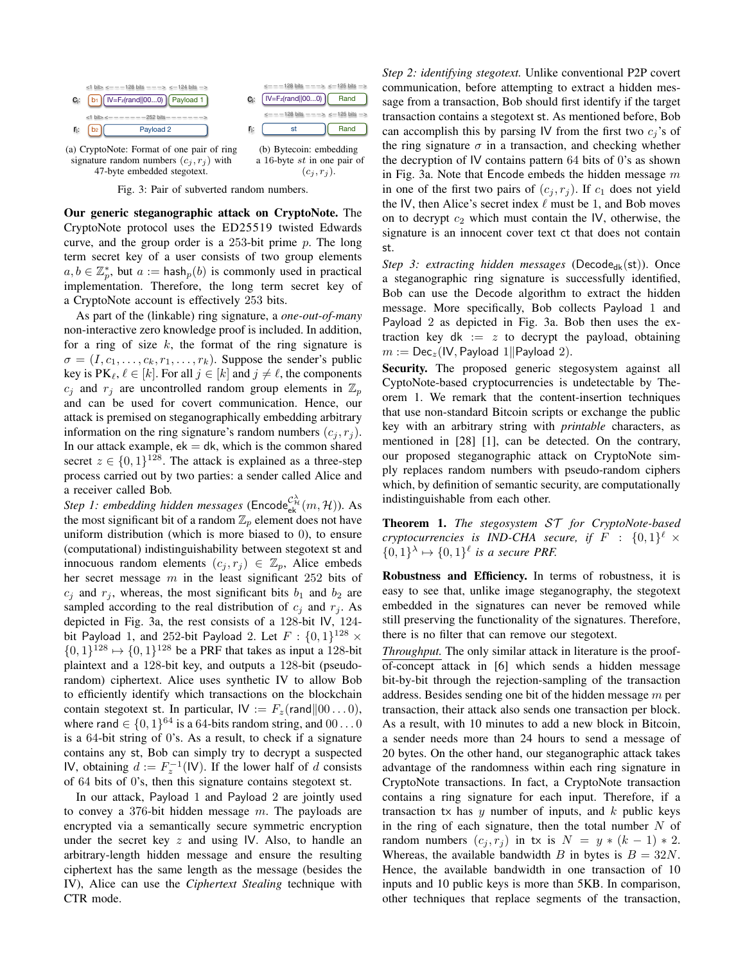

(a) CryptoNote: Format of one pair of ring signature random numbers  $(c_j, r_j)$  with 47-byte embedded stegotext.

Fig. 3: Pair of subverted random numbers.

a 16-byte st in one pair of  $(c_j, r_j)$ .

Our generic steganographic attack on CryptoNote. The CryptoNote protocol uses the ED25519 twisted Edwards curve, and the group order is a 253-bit prime  $p$ . The long term secret key of a user consists of two group elements  $a, b \in \mathbb{Z}_p^*$ , but  $a := \text{hash}_p(b)$  is commonly used in practical implementation. Therefore, the long term secret key of a CryptoNote account is effectively 253 bits.

As part of the (linkable) ring signature, a *one-out-of-many* non-interactive zero knowledge proof is included. In addition, for a ring of size  $k$ , the format of the ring signature is  $\sigma = (I, c_1, \ldots, c_k, r_1, \ldots, r_k)$ . Suppose the sender's public key is PK<sub> $\ell$ </sub>,  $\ell \in [k]$ . For all  $j \in [k]$  and  $j \neq \ell$ , the components  $c_i$  and  $r_i$  are uncontrolled random group elements in  $\mathbb{Z}_p$ and can be used for covert communication. Hence, our attack is premised on steganographically embedding arbitrary information on the ring signature's random numbers  $(c_i, r_i)$ . In our attack example,  $ek = dk$ , which is the common shared secret  $z \in \{0, 1\}^{128}$ . The attack is explained as a three-step process carried out by two parties: a sender called Alice and a receiver called Bob.

*Step 1: embedding hidden messages* ( $\mathsf{Encode}_{\mathsf{ek}}^{\mathcal{C}_{\mathcal{H}}^{\lambda}}(m, \mathcal{H})$ ). As the most significant bit of a random  $\mathbb{Z}_p$  element does not have uniform distribution (which is more biased to 0), to ensure (computational) indistinguishability between stegotext st and innocuous random elements  $(c_i, r_j) \in \mathbb{Z}_p$ , Alice embeds her secret message  $m$  in the least significant 252 bits of  $c_i$  and  $r_i$ , whereas, the most significant bits  $b_1$  and  $b_2$  are sampled according to the real distribution of  $c_i$  and  $r_j$ . As depicted in Fig. 3a, the rest consists of a 128-bit IV, 124 bit Payload 1, and 252-bit Payload 2. Let  $F: \{0,1\}^{128} \times$  $\{0, 1\}^{128} \mapsto \{0, 1\}^{128}$  be a PRF that takes as input a 128-bit plaintext and a 128-bit key, and outputs a 128-bit (pseudorandom) ciphertext. Alice uses synthetic IV to allow Bob to efficiently identify which transactions on the blockchain contain stegotext st. In particular,  $\mathsf{IV} := F_z(\mathsf{rand}||00\ldots0),$ where rand  $\in \{0,1\}^{64}$  is a 64-bits random string, and  $00...0$ is a 64-bit string of 0's. As a result, to check if a signature contains any st, Bob can simply try to decrypt a suspected IV, obtaining  $d := F_z^{-1}(IV)$ . If the lower half of d consists of 64 bits of 0's, then this signature contains stegotext st.

In our attack, Payload 1 and Payload 2 are jointly used to convey a 376-bit hidden message  $m$ . The payloads are encrypted via a semantically secure symmetric encryption under the secret key  $z$  and using IV. Also, to handle an arbitrary-length hidden message and ensure the resulting ciphertext has the same length as the message (besides the IV), Alice can use the *Ciphertext Stealing* technique with CTR mode.

*Step 2: identifying stegotext.* Unlike conventional P2P covert communication, before attempting to extract a hidden message from a transaction, Bob should first identify if the target transaction contains a stegotext st. As mentioned before, Bob can accomplish this by parsing IV from the first two  $c_i$ 's of the ring signature  $\sigma$  in a transaction, and checking whether the decryption of IV contains pattern 64 bits of 0's as shown in Fig. 3a. Note that Encode embeds the hidden message  $m$ in one of the first two pairs of  $(c_i, r_i)$ . If  $c_1$  does not yield the IV, then Alice's secret index  $\ell$  must be 1, and Bob moves on to decrypt  $c_2$  which must contain the IV, otherwise, the signature is an innocent cover text ct that does not contain st.

*Step 3: extracting hidden messages* (Decode<sub>dk</sub>(st)). Once a steganographic ring signature is successfully identified, Bob can use the Decode algorithm to extract the hidden message. More specifically, Bob collects Payload 1 and Payload 2 as depicted in Fig. 3a. Bob then uses the extraction key dk := z to decrypt the payload, obtaining  $m := \text{Dec}_z(W, \text{Payload 1}||\text{Payload 2}).$ 

Security. The proposed generic stegosystem against all CyptoNote-based cryptocurrencies is undetectable by Theorem 1. We remark that the content-insertion techniques that use non-standard Bitcoin scripts or exchange the public key with an arbitrary string with *printable* characters, as mentioned in [28] [1], can be detected. On the contrary, our proposed steganographic attack on CryptoNote simply replaces random numbers with pseudo-random ciphers which, by definition of semantic security, are computationally indistinguishable from each other.

Theorem 1. *The stegosystem* ST *for CryptoNote-based cryptocurrencies is IND-CHA secure, if*  $F : \{0,1\}^{\ell} \times$  $\{0,1\}^{\lambda} \mapsto \{0,1\}^{\ell}$  is a secure PRF.

Robustness and Efficiency. In terms of robustness, it is easy to see that, unlike image steganography, the stegotext embedded in the signatures can never be removed while still preserving the functionality of the signatures. Therefore, there is no filter that can remove our stegotext.

*Throughput.* The only similar attack in literature is the proofof-concept attack in [6] which sends a hidden message bit-by-bit through the rejection-sampling of the transaction address. Besides sending one bit of the hidden message  $m$  per transaction, their attack also sends one transaction per block. As a result, with 10 minutes to add a new block in Bitcoin, a sender needs more than 24 hours to send a message of 20 bytes. On the other hand, our steganographic attack takes advantage of the randomness within each ring signature in CryptoNote transactions. In fact, a CryptoNote transaction contains a ring signature for each input. Therefore, if a transaction tx has y number of inputs, and  $k$  public keys in the ring of each signature, then the total number  $N$  of random numbers  $(c_i, r_i)$  in tx is  $N = y * (k - 1) * 2$ . Whereas, the available bandwidth B in bytes is  $B = 32N$ . Hence, the available bandwidth in one transaction of 10 inputs and 10 public keys is more than 5KB. In comparison, other techniques that replace segments of the transaction,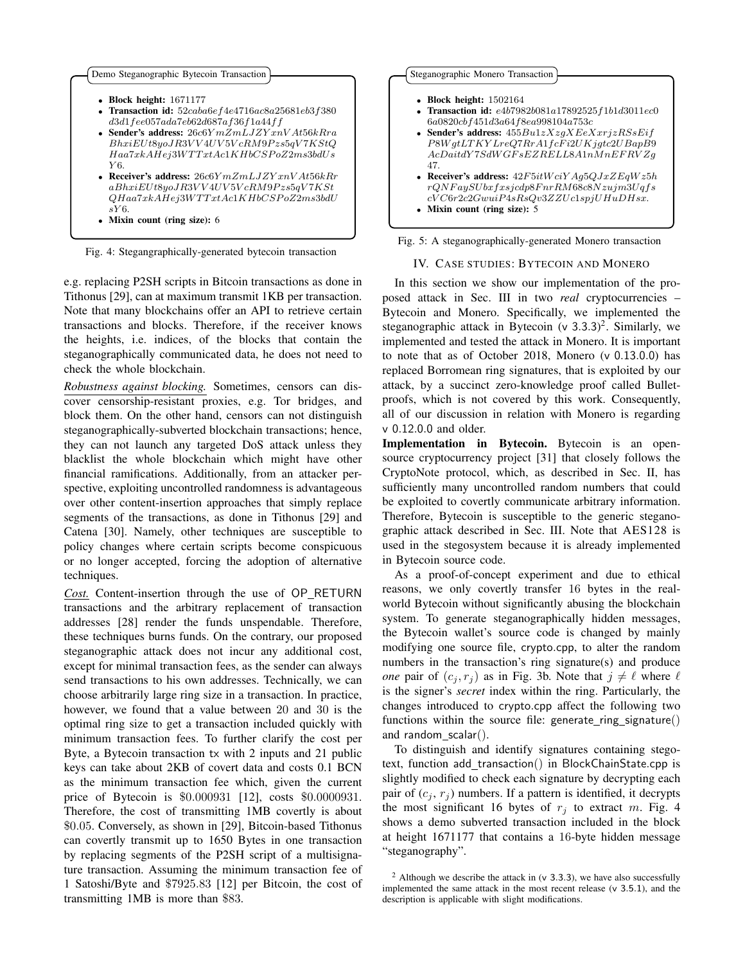

Fig. 4: Stegangraphically-generated bytecoin transaction

e.g. replacing P2SH scripts in Bitcoin transactions as done in Tithonus [29], can at maximum transmit 1KB per transaction. Note that many blockchains offer an API to retrieve certain transactions and blocks. Therefore, if the receiver knows the heights, i.e. indices, of the blocks that contain the steganographically communicated data, he does not need to check the whole blockchain.

*Robustness against blocking.* Sometimes, censors can discover censorship-resistant proxies, e.g. Tor bridges, and block them. On the other hand, censors can not distinguish steganographically-subverted blockchain transactions; hence, they can not launch any targeted DoS attack unless they blacklist the whole blockchain which might have other financial ramifications. Additionally, from an attacker perspective, exploiting uncontrolled randomness is advantageous over other content-insertion approaches that simply replace segments of the transactions, as done in Tithonus [29] and Catena [30]. Namely, other techniques are susceptible to policy changes where certain scripts become conspicuous or no longer accepted, forcing the adoption of alternative techniques.

*Cost.* Content-insertion through the use of OP RETURN transactions and the arbitrary replacement of transaction addresses [28] render the funds unspendable. Therefore, these techniques burns funds. On the contrary, our proposed steganographic attack does not incur any additional cost, except for minimal transaction fees, as the sender can always send transactions to his own addresses. Technically, we can choose arbitrarily large ring size in a transaction. In practice, however, we found that a value between 20 and 30 is the optimal ring size to get a transaction included quickly with minimum transaction fees. To further clarify the cost per Byte, a Bytecoin transaction tx with 2 inputs and 21 public keys can take about 2KB of covert data and costs 0.1 BCN as the minimum transaction fee which, given the current price of Bytecoin is \$0.000931 [12], costs \$0.0000931. Therefore, the cost of transmitting 1MB covertly is about \$0.05. Conversely, as shown in [29], Bitcoin-based Tithonus can covertly transmit up to 1650 Bytes in one transaction by replacing segments of the P2SH script of a multisignature transaction. Assuming the minimum transaction fee of 1 Satoshi/Byte and \$7925.83 [12] per Bitcoin, the cost of transmitting 1MB is more than \$83.



Fig. 5: A steganographically-generated Monero transaction

## IV. CASE STUDIES: BYTECOIN AND MONERO

In this section we show our implementation of the proposed attack in Sec. III in two *real* cryptocurrencies – Bytecoin and Monero. Specifically, we implemented the steganographic attack in Bytecoin ( $\vee$  3.3.3)<sup>2</sup>. Similarly, we implemented and tested the attack in Monero. It is important to note that as of October 2018, Monero (v 0.13.0.0) has replaced Borromean ring signatures, that is exploited by our attack, by a succinct zero-knowledge proof called Bulletproofs, which is not covered by this work. Consequently, all of our discussion in relation with Monero is regarding v 0.12.0.0 and older.

Implementation in Bytecoin. Bytecoin is an opensource cryptocurrency project [31] that closely follows the CryptoNote protocol, which, as described in Sec. II, has sufficiently many uncontrolled random numbers that could be exploited to covertly communicate arbitrary information. Therefore, Bytecoin is susceptible to the generic steganographic attack described in Sec. III. Note that AES128 is used in the stegosystem because it is already implemented in Bytecoin source code.

As a proof-of-concept experiment and due to ethical reasons, we only covertly transfer 16 bytes in the realworld Bytecoin without significantly abusing the blockchain system. To generate steganographically hidden messages, the Bytecoin wallet's source code is changed by mainly modifying one source file, crypto.cpp, to alter the random numbers in the transaction's ring signature(s) and produce *one* pair of  $(c_j, r_j)$  as in Fig. 3b. Note that  $j \neq \ell$  where  $\ell$ is the signer's *secret* index within the ring. Particularly, the changes introduced to crypto.cpp affect the following two functions within the source file: generate ring signature() and random scalar().

To distinguish and identify signatures containing stegotext, function add transaction() in BlockChainState.cpp is slightly modified to check each signature by decrypting each pair of  $(c_i, r_i)$  numbers. If a pattern is identified, it decrypts the most significant 16 bytes of  $r_i$  to extract m. Fig. 4 shows a demo subverted transaction included in the block at height 1671177 that contains a 16-byte hidden message "steganography".

<sup>&</sup>lt;sup>2</sup> Although we describe the attack in ( $\vee$  3.3.3), we have also successfully implemented the same attack in the most recent release (v 3.5.1), and the description is applicable with slight modifications.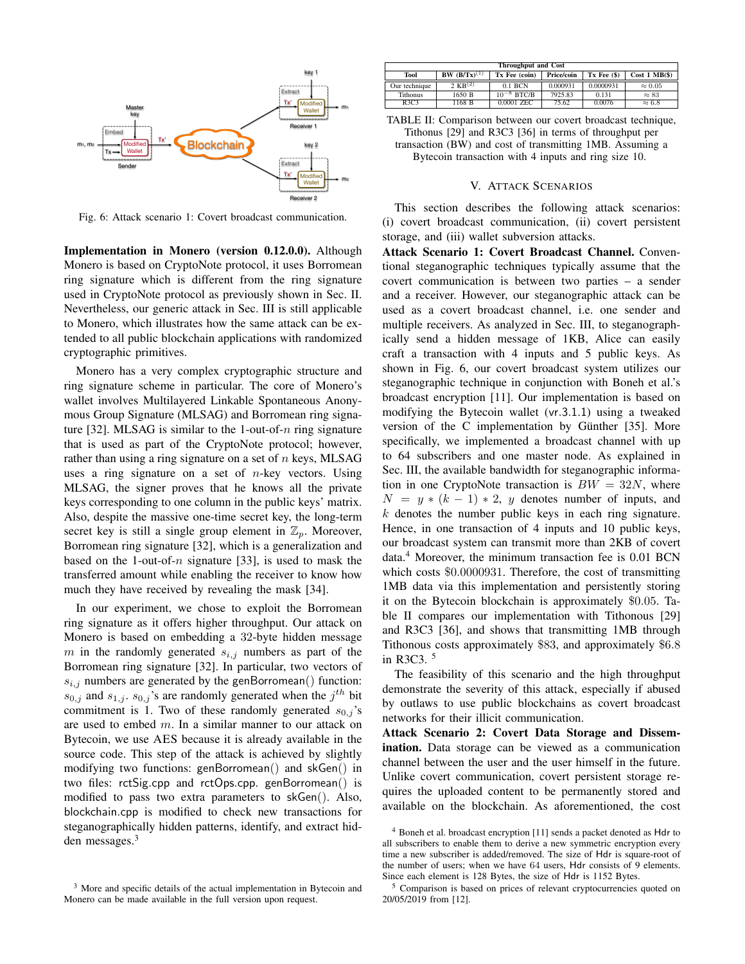

Fig. 6: Attack scenario 1: Covert broadcast communication.

Implementation in Monero (version 0.12.0.0). Although Monero is based on CryptoNote protocol, it uses Borromean ring signature which is different from the ring signature used in CryptoNote protocol as previously shown in Sec. II. Nevertheless, our generic attack in Sec. III is still applicable to Monero, which illustrates how the same attack can be extended to all public blockchain applications with randomized cryptographic primitives.

Monero has a very complex cryptographic structure and ring signature scheme in particular. The core of Monero's wallet involves Multilayered Linkable Spontaneous Anonymous Group Signature (MLSAG) and Borromean ring signature [32]. MLSAG is similar to the 1-out-of- $n$  ring signature that is used as part of the CryptoNote protocol; however, rather than using a ring signature on a set of  $n$  keys, MLSAG uses a ring signature on a set of  $n$ -key vectors. Using MLSAG, the signer proves that he knows all the private keys corresponding to one column in the public keys' matrix. Also, despite the massive one-time secret key, the long-term secret key is still a single group element in  $\mathbb{Z}_n$ . Moreover, Borromean ring signature [32], which is a generalization and based on the 1-out-of- $n$  signature [33], is used to mask the transferred amount while enabling the receiver to know how much they have received by revealing the mask [34].

In our experiment, we chose to exploit the Borromean ring signature as it offers higher throughput. Our attack on Monero is based on embedding a 32-byte hidden message m in the randomly generated  $s_{i,j}$  numbers as part of the Borromean ring signature [32]. In particular, two vectors of  $s_{i,j}$  numbers are generated by the genBorromean() function:  $s_{0,j}$  and  $s_{1,j}$ .  $s_{0,j}$ 's are randomly generated when the  $j^{th}$  bit commitment is 1. Two of these randomly generated  $s_{0,i}$ 's are used to embed  $m$ . In a similar manner to our attack on Bytecoin, we use AES because it is already available in the source code. This step of the attack is achieved by slightly modifying two functions: genBorromean() and skGen() in two files: rctSig.cpp and rctOps.cpp. genBorromean() is modified to pass two extra parameters to skGen(). Also, blockchain.cpp is modified to check new transactions for steganographically hidden patterns, identify, and extract hidden messages.<sup>3</sup>

| <b>Throughput and Cost</b> |                          |                 |            |                |                |  |  |  |
|----------------------------|--------------------------|-----------------|------------|----------------|----------------|--|--|--|
| Tool                       | <b>BW</b> $(B/Tx)^{(1)}$ | Tx Fee (coin)   | Price/coin | $Tx$ Fee $(S)$ | Cost 1 MB(S)   |  |  |  |
| Our technique              | 2 KB $^{(2)}$            | $0.1$ BCN       | 0.000931   | 0.0000931      | $\approx 0.05$ |  |  |  |
| Tithonus                   | 1650 B                   | $10^{-8}$ BTC/B | 7925.83    | 0.131          | $\approx 83$   |  |  |  |
| R3C3                       | 1168 B                   | 0.0001 ZEC      | 75.62      | 0.0076         | $\approx 6.8$  |  |  |  |

TABLE II: Comparison between our covert broadcast technique, Tithonus [29] and R3C3 [36] in terms of throughput per transaction (BW) and cost of transmitting 1MB. Assuming a Bytecoin transaction with 4 inputs and ring size 10.

#### V. ATTACK SCENARIOS

This section describes the following attack scenarios: (i) covert broadcast communication, (ii) covert persistent storage, and (iii) wallet subversion attacks.

Attack Scenario 1: Covert Broadcast Channel. Conventional steganographic techniques typically assume that the covert communication is between two parties – a sender and a receiver. However, our steganographic attack can be used as a covert broadcast channel, i.e. one sender and multiple receivers. As analyzed in Sec. III, to steganographically send a hidden message of 1KB, Alice can easily craft a transaction with 4 inputs and 5 public keys. As shown in Fig. 6, our covert broadcast system utilizes our steganographic technique in conjunction with Boneh et al.'s broadcast encryption [11]. Our implementation is based on modifying the Bytecoin wallet (vr.3.1.1) using a tweaked version of the C implementation by Günther  $[35]$ . More specifically, we implemented a broadcast channel with up to 64 subscribers and one master node. As explained in Sec. III, the available bandwidth for steganographic information in one CryptoNote transaction is  $BW = 32N$ , where  $N = y * (k - 1) * 2$ , y denotes number of inputs, and  $k$  denotes the number public keys in each ring signature. Hence, in one transaction of 4 inputs and 10 public keys, our broadcast system can transmit more than 2KB of covert data.<sup>4</sup> Moreover, the minimum transaction fee is 0.01 BCN which costs \$0.0000931. Therefore, the cost of transmitting 1MB data via this implementation and persistently storing it on the Bytecoin blockchain is approximately \$0.05. Table II compares our implementation with Tithonous [29] and R3C3 [36], and shows that transmitting 1MB through Tithonous costs approximately \$83, and approximately \$6.8 in R3C3. <sup>5</sup>

The feasibility of this scenario and the high throughput demonstrate the severity of this attack, especially if abused by outlaws to use public blockchains as covert broadcast networks for their illicit communication.

Attack Scenario 2: Covert Data Storage and Dissemination. Data storage can be viewed as a communication channel between the user and the user himself in the future. Unlike covert communication, covert persistent storage requires the uploaded content to be permanently stored and available on the blockchain. As aforementioned, the cost

<sup>&</sup>lt;sup>3</sup> More and specific details of the actual implementation in Bytecoin and Monero can be made available in the full version upon request.

<sup>&</sup>lt;sup>4</sup> Boneh et al. broadcast encryption [11] sends a packet denoted as Hdr to all subscribers to enable them to derive a new symmetric encryption every time a new subscriber is added/removed. The size of Hdr is square-root of the number of users; when we have 64 users, Hdr consists of 9 elements. Since each element is 128 Bytes, the size of Hdr is 1152 Bytes.

<sup>5</sup> Comparison is based on prices of relevant cryptocurrencies quoted on 20/05/2019 from [12].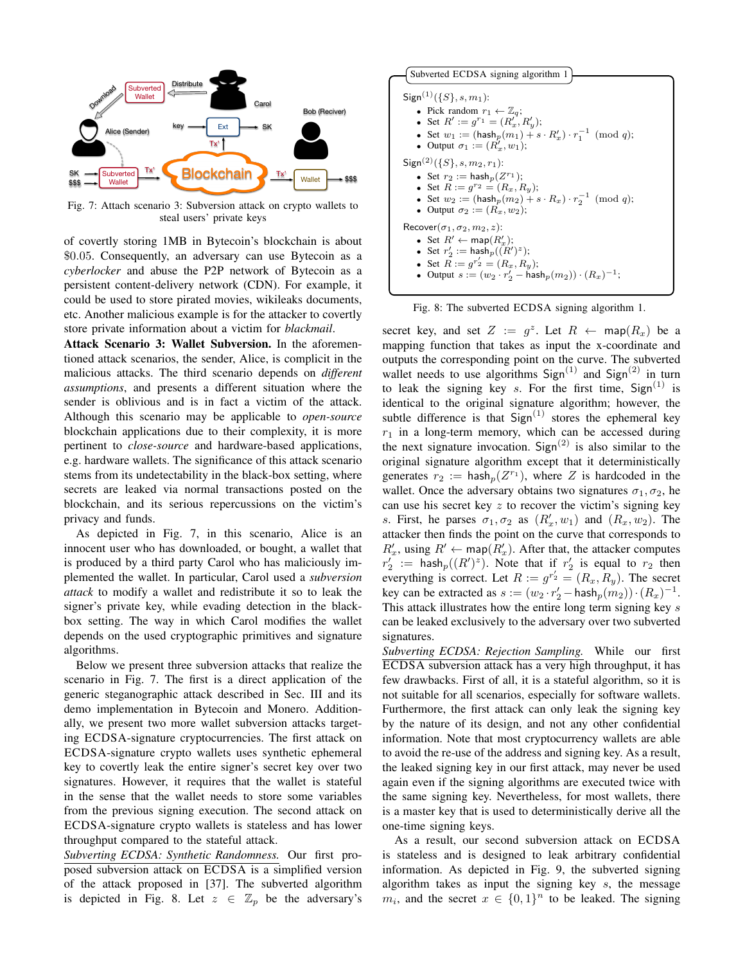

Fig. 7: Attach scenario 3: Subversion attack on crypto wallets to steal users' private keys

of covertly storing 1MB in Bytecoin's blockchain is about \$0.05. Consequently, an adversary can use Bytecoin as a *cyberlocker* and abuse the P2P network of Bytecoin as a persistent content-delivery network (CDN). For example, it could be used to store pirated movies, wikileaks documents, etc. Another malicious example is for the attacker to covertly store private information about a victim for *blackmail*.

Attack Scenario 3: Wallet Subversion. In the aforementioned attack scenarios, the sender, Alice, is complicit in the malicious attacks. The third scenario depends on *different assumptions*, and presents a different situation where the sender is oblivious and is in fact a victim of the attack. Although this scenario may be applicable to *open-source* blockchain applications due to their complexity, it is more pertinent to *close-source* and hardware-based applications, e.g. hardware wallets. The significance of this attack scenario stems from its undetectability in the black-box setting, where secrets are leaked via normal transactions posted on the blockchain, and its serious repercussions on the victim's privacy and funds.

As depicted in Fig. 7, in this scenario, Alice is an innocent user who has downloaded, or bought, a wallet that is produced by a third party Carol who has maliciously implemented the wallet. In particular, Carol used a *subversion attack* to modify a wallet and redistribute it so to leak the signer's private key, while evading detection in the blackbox setting. The way in which Carol modifies the wallet depends on the used cryptographic primitives and signature algorithms.

Below we present three subversion attacks that realize the scenario in Fig. 7. The first is a direct application of the generic steganographic attack described in Sec. III and its demo implementation in Bytecoin and Monero. Additionally, we present two more wallet subversion attacks targeting ECDSA-signature cryptocurrencies. The first attack on ECDSA-signature crypto wallets uses synthetic ephemeral key to covertly leak the entire signer's secret key over two signatures. However, it requires that the wallet is stateful in the sense that the wallet needs to store some variables from the previous signing execution. The second attack on ECDSA-signature crypto wallets is stateless and has lower throughput compared to the stateful attack.

*Subverting ECDSA: Synthetic Randomness.* Our first proposed subversion attack on ECDSA is a simplified version of the attack proposed in [37]. The subverted algorithm is depicted in Fig. 8. Let  $z \in \mathbb{Z}_p$  be the adversary's

| Subverted ECDSA signing algorithm 1                                                                                                                                                                                                                                                                        |
|------------------------------------------------------------------------------------------------------------------------------------------------------------------------------------------------------------------------------------------------------------------------------------------------------------|
| Sign <sup>(1)</sup> ({S}, s, m <sub>1</sub> ):<br>• Pick random $r_1 \leftarrow \mathbb{Z}_q$ ;<br>• Set $R' := q^{r_1} = (R'_r, R'_r);$<br>• Set $w_1 := (\text{hash}_p(m_1) + s \cdot R'_x) \cdot r_1^{-1} \pmod{q};$                                                                                    |
| • Output $\sigma_1 := (R'_x, w_1);$<br>Sign <sup>(2)</sup> ({S}, s, m <sub>2</sub> , r <sub>1</sub> ):<br>• Set $r_2 := \text{hash}_p(Z^{r_1});$<br>• Set $R := q^{r_2} = (R_x, R_y);$<br>• Set $w_2 := (\text{hash}_p(m_2) + s \cdot R_x) \cdot r_2^{-1} \pmod{q};$<br>• Output $\sigma_2 := (R_x, w_2);$ |
| Recover $(\sigma_1, \sigma_2, m_2, z)$ :<br>• Set $R' \leftarrow \text{map}(R'_r);$<br>• Set $r'_2 := \text{hash}_p((R')^z);$<br>• Set $R := g^{r'_2} = (R_x, R_y);$<br>Output $s := (w_2 \cdot r'_2 - \text{hash}_p(m_2)) \cdot (R_x)^{-1};$                                                              |

Fig. 8: The subverted ECDSA signing algorithm 1.

secret key, and set  $Z := g^z$ . Let  $R \leftarrow \text{map}(R_x)$  be a mapping function that takes as input the x-coordinate and outputs the corresponding point on the curve. The subverted wallet needs to use algorithms  $Sign^{(1)}$  and  $Sign^{(2)}$  in turn to leak the signing key s. For the first time,  $Sign^{(1)}$  is identical to the original signature algorithm; however, the subtle difference is that  $Sign<sup>(1)</sup>$  stores the ephemeral key  $r_1$  in a long-term memory, which can be accessed during the next signature invocation. Sign<sup>(2)</sup> is also similar to the original signature algorithm except that it deterministically generates  $r_2 := \text{hash}_p(Z^{r_1})$ , where Z is hardcoded in the wallet. Once the adversary obtains two signatures  $\sigma_1, \sigma_2$ , he can use his secret key  $z$  to recover the victim's signing key s. First, he parses  $\sigma_1, \sigma_2$  as  $(R'_x, w_1)$  and  $(R_x, w_2)$ . The attacker then finds the point on the curve that corresponds to  $R'_x$ , using  $R' \leftarrow \text{map}(R'_x)$ . After that, the attacker computes  $r'_2 := \text{hash}_p((R')^z)$ . Note that if  $r'_2$  is equal to  $r_2$  then everything is correct. Let  $R := g^{r_2'} = (R_x, R_y)$ . The secret key can be extracted as  $s := (w_2 \cdot r_2' - \text{hash}_p(m_2)) \cdot (R_x)^{-1}$ . This attack illustrates how the entire long term signing key  $s$ can be leaked exclusively to the adversary over two subverted signatures.

*Subverting ECDSA: Rejection Sampling.* While our first ECDSA subversion attack has a very high throughput, it has few drawbacks. First of all, it is a stateful algorithm, so it is not suitable for all scenarios, especially for software wallets. Furthermore, the first attack can only leak the signing key by the nature of its design, and not any other confidential information. Note that most cryptocurrency wallets are able to avoid the re-use of the address and signing key. As a result, the leaked signing key in our first attack, may never be used again even if the signing algorithms are executed twice with the same signing key. Nevertheless, for most wallets, there is a master key that is used to deterministically derive all the one-time signing keys.

As a result, our second subversion attack on ECDSA is stateless and is designed to leak arbitrary confidential information. As depicted in Fig. 9, the subverted signing algorithm takes as input the signing key  $s$ , the message  $m_i$ , and the secret  $x \in \{0,1\}^n$  to be leaked. The signing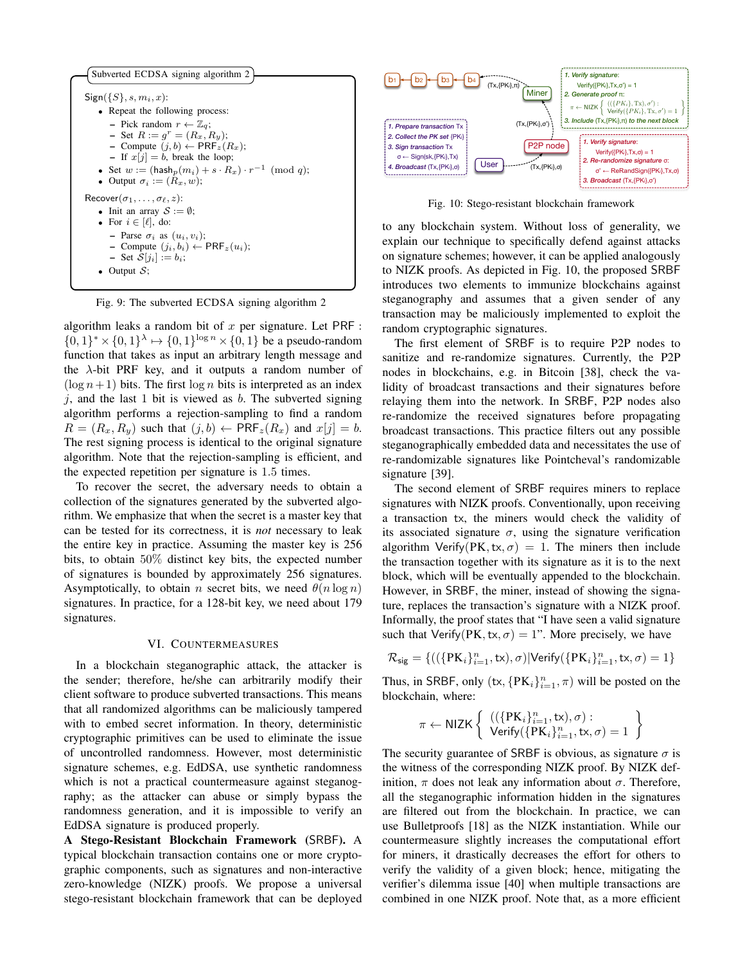

Fig. 9: The subverted ECDSA signing algorithm 2

algorithm leaks a random bit of  $x$  per signature. Let PRF :  $\{0,1\}^* \times \{0,1\}^{\lambda} \mapsto \{0,1\}^{\log n} \times \{0,1\}$  be a pseudo-random function that takes as input an arbitrary length message and the  $\lambda$ -bit PRF key, and it outputs a random number of  $(\log n+1)$  bits. The first  $\log n$  bits is interpreted as an index  $j$ , and the last 1 bit is viewed as  $b$ . The subverted signing algorithm performs a rejection-sampling to find a random  $R = (R_x, R_y)$  such that  $(j, b) \leftarrow \text{PRF}_z(R_x)$  and  $x[j] = b$ . The rest signing process is identical to the original signature algorithm. Note that the rejection-sampling is efficient, and the expected repetition per signature is 1.5 times.

To recover the secret, the adversary needs to obtain a collection of the signatures generated by the subverted algorithm. We emphasize that when the secret is a master key that can be tested for its correctness, it is *not* necessary to leak the entire key in practice. Assuming the master key is 256 bits, to obtain 50% distinct key bits, the expected number of signatures is bounded by approximately 256 signatures. Asymptotically, to obtain *n* secret bits, we need  $\theta(n \log n)$ signatures. In practice, for a 128-bit key, we need about 179 signatures.

### VI. COUNTERMEASURES

In a blockchain steganographic attack, the attacker is the sender; therefore, he/she can arbitrarily modify their client software to produce subverted transactions. This means that all randomized algorithms can be maliciously tampered with to embed secret information. In theory, deterministic cryptographic primitives can be used to eliminate the issue of uncontrolled randomness. However, most deterministic signature schemes, e.g. EdDSA, use synthetic randomness which is not a practical countermeasure against steganography; as the attacker can abuse or simply bypass the randomness generation, and it is impossible to verify an EdDSA signature is produced properly.

A Stego-Resistant Blockchain Framework (SRBF). A typical blockchain transaction contains one or more cryptographic components, such as signatures and non-interactive zero-knowledge (NIZK) proofs. We propose a universal stego-resistant blockchain framework that can be deployed



Fig. 10: Stego-resistant blockchain framework

to any blockchain system. Without loss of generality, we explain our technique to specifically defend against attacks on signature schemes; however, it can be applied analogously to NIZK proofs. As depicted in Fig. 10, the proposed SRBF introduces two elements to immunize blockchains against steganography and assumes that a given sender of any transaction may be maliciously implemented to exploit the random cryptographic signatures.

The first element of SRBF is to require P2P nodes to sanitize and re-randomize signatures. Currently, the P2P nodes in blockchains, e.g. in Bitcoin [38], check the validity of broadcast transactions and their signatures before relaying them into the network. In SRBF, P2P nodes also re-randomize the received signatures before propagating broadcast transactions. This practice filters out any possible steganographically embedded data and necessitates the use of re-randomizable signatures like Pointcheval's randomizable signature [39].

The second element of SRBF requires miners to replace signatures with NIZK proofs. Conventionally, upon receiving a transaction tx, the miners would check the validity of its associated signature  $\sigma$ , using the signature verification algorithm Verify(PK, tx,  $\sigma$ ) = 1. The miners then include the transaction together with its signature as it is to the next block, which will be eventually appended to the blockchain. However, in SRBF, the miner, instead of showing the signature, replaces the transaction's signature with a NIZK proof. Informally, the proof states that "I have seen a valid signature such that Verify(PK, tx,  $\sigma$ ) = 1". More precisely, we have

$$
\mathcal{R}_{\mathsf{sig}} = \{((\{\mathsf{PK}_i\}_{i=1}^n, \mathsf{tx}), \sigma) | \mathsf{Verify}(\{\mathsf{PK}_i\}_{i=1}^n, \mathsf{tx}, \sigma) = 1\}
$$

Thus, in SRBF, only  $(tx, {PK<sub>i</sub>}<sub>i=1</sub><sup>n</sup>, \pi)$  will be posted on the blockchain, where:

$$
\pi \leftarrow \textsf{NIZK}\left\{\begin{array}{l}\big((\{\textsf{PK}_i\}_{i=1}^n, \textsf{tx}),\sigma\big) : \\\textsf{Verify}(\{\textsf{PK}_i\}_{i=1}^n, \textsf{tx},\sigma) = 1\end{array}\right\}
$$

The security guarantee of SRBF is obvious, as signature  $\sigma$  is the witness of the corresponding NIZK proof. By NIZK definition,  $\pi$  does not leak any information about  $\sigma$ . Therefore, all the steganographic information hidden in the signatures are filtered out from the blockchain. In practice, we can use Bulletproofs [18] as the NIZK instantiation. While our countermeasure slightly increases the computational effort for miners, it drastically decreases the effort for others to verify the validity of a given block; hence, mitigating the verifier's dilemma issue [40] when multiple transactions are combined in one NIZK proof. Note that, as a more efficient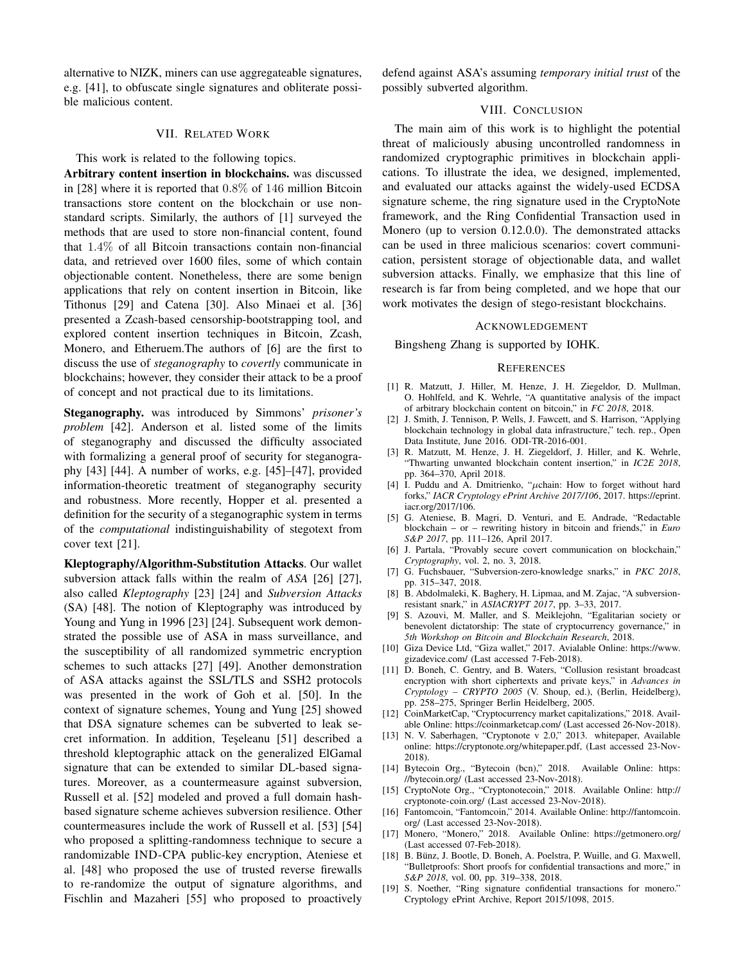alternative to NIZK, miners can use aggregateable signatures, e.g. [41], to obfuscate single signatures and obliterate possible malicious content.

### VII. RELATED WORK

### This work is related to the following topics.

Arbitrary content insertion in blockchains. was discussed in [28] where it is reported that 0.8% of 146 million Bitcoin transactions store content on the blockchain or use nonstandard scripts. Similarly, the authors of [1] surveyed the methods that are used to store non-financial content, found that 1.4% of all Bitcoin transactions contain non-financial data, and retrieved over 1600 files, some of which contain objectionable content. Nonetheless, there are some benign applications that rely on content insertion in Bitcoin, like Tithonus [29] and Catena [30]. Also Minaei et al. [36] presented a Zcash-based censorship-bootstrapping tool, and explored content insertion techniques in Bitcoin, Zcash, Monero, and Etheruem.The authors of [6] are the first to discuss the use of *steganography* to *covertly* communicate in blockchains; however, they consider their attack to be a proof of concept and not practical due to its limitations.

Steganography. was introduced by Simmons' *prisoner's problem* [42]. Anderson et al. listed some of the limits of steganography and discussed the difficulty associated with formalizing a general proof of security for steganography [43] [44]. A number of works, e.g. [45]–[47], provided information-theoretic treatment of steganography security and robustness. More recently, Hopper et al. presented a definition for the security of a steganographic system in terms of the *computational* indistinguishability of stegotext from cover text [21].

Kleptography/Algorithm-Substitution Attacks. Our wallet subversion attack falls within the realm of *ASA* [26] [27], also called *Kleptography* [23] [24] and *Subversion Attacks* (SA) [48]. The notion of Kleptography was introduced by Young and Yung in 1996 [23] [24]. Subsequent work demonstrated the possible use of ASA in mass surveillance, and the susceptibility of all randomized symmetric encryption schemes to such attacks [27] [49]. Another demonstration of ASA attacks against the SSL/TLS and SSH2 protocols was presented in the work of Goh et al. [50]. In the context of signature schemes, Young and Yung [25] showed that DSA signature schemes can be subverted to leak secret information. In addition, Teseleanu [51] described a threshold kleptographic attack on the generalized ElGamal signature that can be extended to similar DL-based signatures. Moreover, as a countermeasure against subversion, Russell et al. [52] modeled and proved a full domain hashbased signature scheme achieves subversion resilience. Other countermeasures include the work of Russell et al. [53] [54] who proposed a splitting-randomness technique to secure a randomizable IND-CPA public-key encryption, Ateniese et al. [48] who proposed the use of trusted reverse firewalls to re-randomize the output of signature algorithms, and Fischlin and Mazaheri [55] who proposed to proactively

defend against ASA's assuming *temporary initial trust* of the possibly subverted algorithm.

### VIII. CONCLUSION

The main aim of this work is to highlight the potential threat of maliciously abusing uncontrolled randomness in randomized cryptographic primitives in blockchain applications. To illustrate the idea, we designed, implemented, and evaluated our attacks against the widely-used ECDSA signature scheme, the ring signature used in the CryptoNote framework, and the Ring Confidential Transaction used in Monero (up to version 0.12.0.0). The demonstrated attacks can be used in three malicious scenarios: covert communication, persistent storage of objectionable data, and wallet subversion attacks. Finally, we emphasize that this line of research is far from being completed, and we hope that our work motivates the design of stego-resistant blockchains.

#### ACKNOWLEDGEMENT

Bingsheng Zhang is supported by IOHK.

#### **REFERENCES**

- [1] R. Matzutt, J. Hiller, M. Henze, J. H. Ziegeldor, D. Mullman, O. Hohlfeld, and K. Wehrle, "A quantitative analysis of the impact of arbitrary blockchain content on bitcoin," in *FC 2018*, 2018.
- [2] J. Smith, J. Tennison, P. Wells, J. Fawcett, and S. Harrison, "Applying blockchain technology in global data infrastructure," tech. rep., Open Data Institute, June 2016. ODI-TR-2016-001.
- [3] R. Matzutt, M. Henze, J. H. Ziegeldorf, J. Hiller, and K. Wehrle, "Thwarting unwanted blockchain content insertion," in *IC2E 2018*, pp. 364–370, April 2018.
- [4] I. Puddu and A. Dmitrienko, "µchain: How to forget without hard forks," *IACR Cryptology ePrint Archive 2017/106*, 2017. https://eprint. iacr.org/2017/106.
- [5] G. Ateniese, B. Magri, D. Venturi, and E. Andrade, "Redactable blockchain – or – rewriting history in bitcoin and friends," in *Euro S&P 2017*, pp. 111–126, April 2017.
- [6] J. Partala, "Provably secure covert communication on blockchain," *Cryptography*, vol. 2, no. 3, 2018.
- [7] G. Fuchsbauer, "Subversion-zero-knowledge snarks," in *PKC 2018*, pp. 315–347, 2018.
- [8] B. Abdolmaleki, K. Baghery, H. Lipmaa, and M. Zajac, "A subversionresistant snark," in *ASIACRYPT 2017*, pp. 3–33, 2017.
- [9] S. Azouvi, M. Maller, and S. Meiklejohn, "Egalitarian society or benevolent dictatorship: The state of cryptocurrency governance," in *5th Workshop on Bitcoin and Blockchain Research*, 2018.
- [10] Giza Device Ltd, "Giza wallet," 2017. Avialable Online: https://www. gizadevice.com/ (Last accessed 7-Feb-2018).
- [11] D. Boneh, C. Gentry, and B. Waters, "Collusion resistant broadcast encryption with short ciphertexts and private keys," in *Advances in Cryptology – CRYPTO 2005* (V. Shoup, ed.), (Berlin, Heidelberg), pp. 258–275, Springer Berlin Heidelberg, 2005.
- [12] CoinMarketCap, "Cryptocurrency market capitalizations," 2018. Available Online: https://coinmarketcap.com/ (Last accessed 26-Nov-2018).
- [13] N. V. Saberhagen, "Cryptonote v 2.0," 2013. whitepaper, Available online: https://cryptonote.org/whitepaper.pdf, (Last accessed 23-Nov-2018).
- [14] Bytecoin Org., "Bytecoin (bcn)," 2018. Available Online: https: //bytecoin.org/ (Last accessed 23-Nov-2018).
- [15] CryptoNote Org., "Cryptonotecoin," 2018. Available Online: http:// cryptonote-coin.org/ (Last accessed 23-Nov-2018).
- [16] Fantomcoin, "Fantomcoin," 2014. Available Online: http://fantomcoin. org/ (Last accessed 23-Nov-2018).
- [17] Monero, "Monero," 2018. Available Online: https://getmonero.org/ (Last accessed 07-Feb-2018).
- [18] B. Bünz, J. Bootle, D. Boneh, A. Poelstra, P. Wuille, and G. Maxwell, "Bulletproofs: Short proofs for confidential transactions and more," in *S&P 2018*, vol. 00, pp. 319–338, 2018.
- [19] S. Noether, "Ring signature confidential transactions for monero." Cryptology ePrint Archive, Report 2015/1098, 2015.